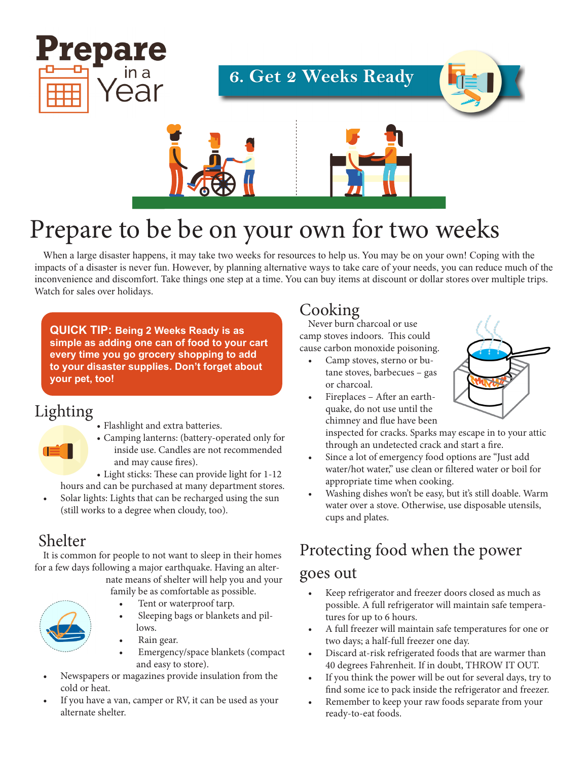

# Prepare to be be on your own for two weeks

When a large disaster happens, it may take two weeks for resources to help us. You may be on your own! Coping with the impacts of a disaster is never fun. However, by planning alternative ways to take care of your needs, you can reduce much of the inconvenience and discomfort. Take things one step at a time. You can buy items at discount or dollar stores over multiple trips. Watch for sales over holidays.

**QUICK TIP: Being 2 Weeks Ready is as simple as adding one can of food to your cart every time you go grocery shopping to add to your disaster supplies. Don't forget about your pet, too!**

## Lighting

- Flashlight and extra batteries.
- Camping lanterns: (battery-operated only for inside use. Candles are not recommended and may cause fires).
- Light sticks: These can provide light for 1-12
- hours and can be purchased at many department stores. • Solar lights: Lights that can be recharged using the sun (still works to a degree when cloudy, too).

# Shelter

It is common for people to not want to sleep in their homes for a few days following a major earthquake. Having an alter-

nate means of shelter will help you and your family be as comfortable as possible.

- Tent or waterproof tarp.
- Sleeping bags or blankets and pillows.
- Rain gear.
- Emergency/space blankets (compact and easy to store).
- Newspapers or magazines provide insulation from the cold or heat.
- If you have a van, camper or RV, it can be used as your alternate shelter.

# Cooking

Never burn charcoal or use camp stoves indoors. This could cause carbon monoxide poisoning.

- Camp stoves, sterno or butane stoves, barbecues – gas or charcoal.
- 
- Fireplaces After an earthquake, do not use until the chimney and flue have been

inspected for cracks. Sparks may escape in to your attic through an undetected crack and start a fire.

- Since a lot of emergency food options are "Just add water/hot water," use clean or filtered water or boil for appropriate time when cooking.
- Washing dishes won't be easy, but it's still doable. Warm water over a stove. Otherwise, use disposable utensils, cups and plates.

# Protecting food when the power

## goes out

- Keep refrigerator and freezer doors closed as much as possible. A full refrigerator will maintain safe temperatures for up to 6 hours.
- A full freezer will maintain safe temperatures for one or two days; a half-full freezer one day.
- Discard at-risk refrigerated foods that are warmer than 40 degrees Fahrenheit. If in doubt, THROW IT OUT.
- If you think the power will be out for several days, try to find some ice to pack inside the refrigerator and freezer.
- Remember to keep your raw foods separate from your ready-to-eat foods.

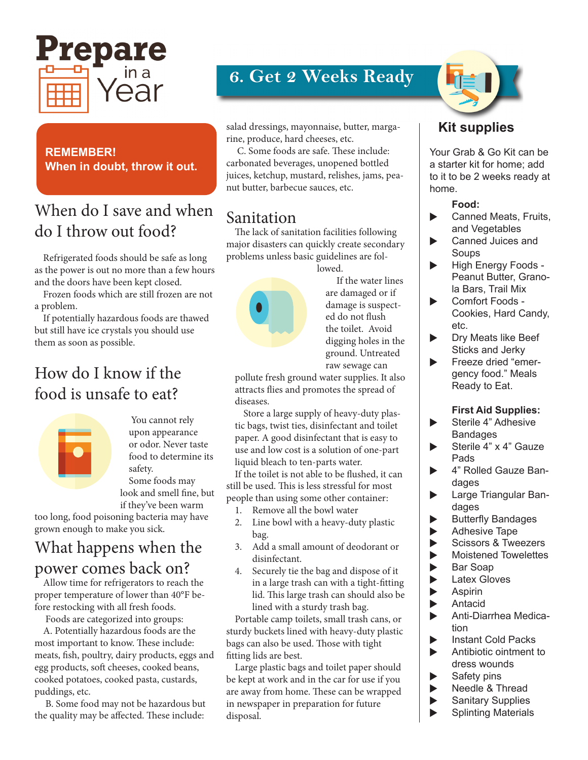

## **REMEMBER! When in doubt, throw it out.**

# When do I save and when do I throw out food?

Refrigerated foods should be safe as long as the power is out no more than a few hours and the doors have been kept closed.

Frozen foods which are still frozen are not a problem.

If potentially hazardous foods are thawed but still have ice crystals you should use them as soon as possible.

# How do I know if the food is unsafe to eat?



 You cannot rely upon appearance or odor. Never taste food to determine its safety. Some foods may

look and smell fine, but if they've been warm

too long, food poisoning bacteria may have grown enough to make you sick.

## What happens when the power comes back on?

Allow time for refrigerators to reach the proper temperature of lower than 40°F before restocking with all fresh foods.

Foods are categorized into groups:

A. Potentially hazardous foods are the most important to know. These include: meats, fish, poultry, dairy products, eggs and egg products, soft cheeses, cooked beans, cooked potatoes, cooked pasta, custards, puddings, etc.

 B. Some food may not be hazardous but the quality may be affected. These include:

# **6. Get 2 Weeks Ready**

salad dressings, mayonnaise, butter, margarine, produce, hard cheeses, etc.

 C. Some foods are safe. These include: carbonated beverages, unopened bottled juices, ketchup, mustard, relishes, jams, peanut butter, barbecue sauces, etc.

## Sanitation

The lack of sanitation facilities following major disasters can quickly create secondary problems unless basic guidelines are fol-

lowed.



 If the water lines are damaged or if damage is suspected do not flush the toilet. Avoid digging holes in the ground. Untreated raw sewage can

pollute fresh ground water supplies. It also attracts flies and promotes the spread of diseases.

Store a large supply of heavy-duty plastic bags, twist ties, disinfectant and toilet paper. A good disinfectant that is easy to use and low cost is a solution of one-part liquid bleach to ten-parts water.

If the toilet is not able to be flushed, it can still be used. This is less stressful for most people than using some other container:

- 1. Remove all the bowl water
- 2. Line bowl with a heavy-duty plastic bag.
- 3. Add a small amount of deodorant or disinfectant.
- 4. Securely tie the bag and dispose of it in a large trash can with a tight-fitting lid. This large trash can should also be lined with a sturdy trash bag.

Portable camp toilets, small trash cans, or sturdy buckets lined with heavy-duty plastic bags can also be used. Those with tight fitting lids are best.

Large plastic bags and toilet paper should be kept at work and in the car for use if you are away from home. These can be wrapped in newspaper in preparation for future disposal.



## **Kit supplies**

Your Grab & Go Kit can be a starter kit for home; add to it to be 2 weeks ready at home.

#### **Food:**

- $\blacktriangleright$ Canned Meats, Fruits, and Vegetables
- $\blacktriangleright$ Canned Juices and Soups
- $\blacktriangleright$ High Energy Foods - Peanut Butter, Granola Bars, Trail Mix
- $\blacktriangleright$ Comfort Foods - Cookies, Hard Candy, etc.
- $\blacktriangleright$ Dry Meats like Beef Sticks and Jerky
- $\blacktriangleright$ Freeze dried "emergency food." Meals Ready to Eat.

### **First Aid Supplies:**

- $\blacktriangleright$ Sterile 4" Adhesive **Bandages**
- $\blacktriangleright$ Sterile 4" x 4" Gauze Pads
- $\blacktriangleright$ 4" Rolled Gauze Bandages
- $\blacktriangleright$ Large Triangular Bandages
- $\blacktriangleright$ Butterfly Bandages
- $\blacktriangleright$ Adhesive Tape
- $\blacktriangleright$ Scissors & Tweezers
- $\blacktriangleright$ Moistened Towelettes
- $\blacktriangleright$ Bar Soap
- $\blacktriangleright$ Latex Gloves
- $\blacktriangleright$ Aspirin
- $\blacktriangleright$ Antacid
- $\blacktriangleright$ Anti-Diarrhea Medication
- $\blacktriangleright$ Instant Cold Packs
- $\blacktriangleright$ Antibiotic ointment to dress wounds
- $\blacktriangleright$ Safety pins
- $\blacktriangleright$ Needle & Thread
- $\blacktriangleright$ Sanitary Supplies
- $\blacktriangleright$ Splinting Materials